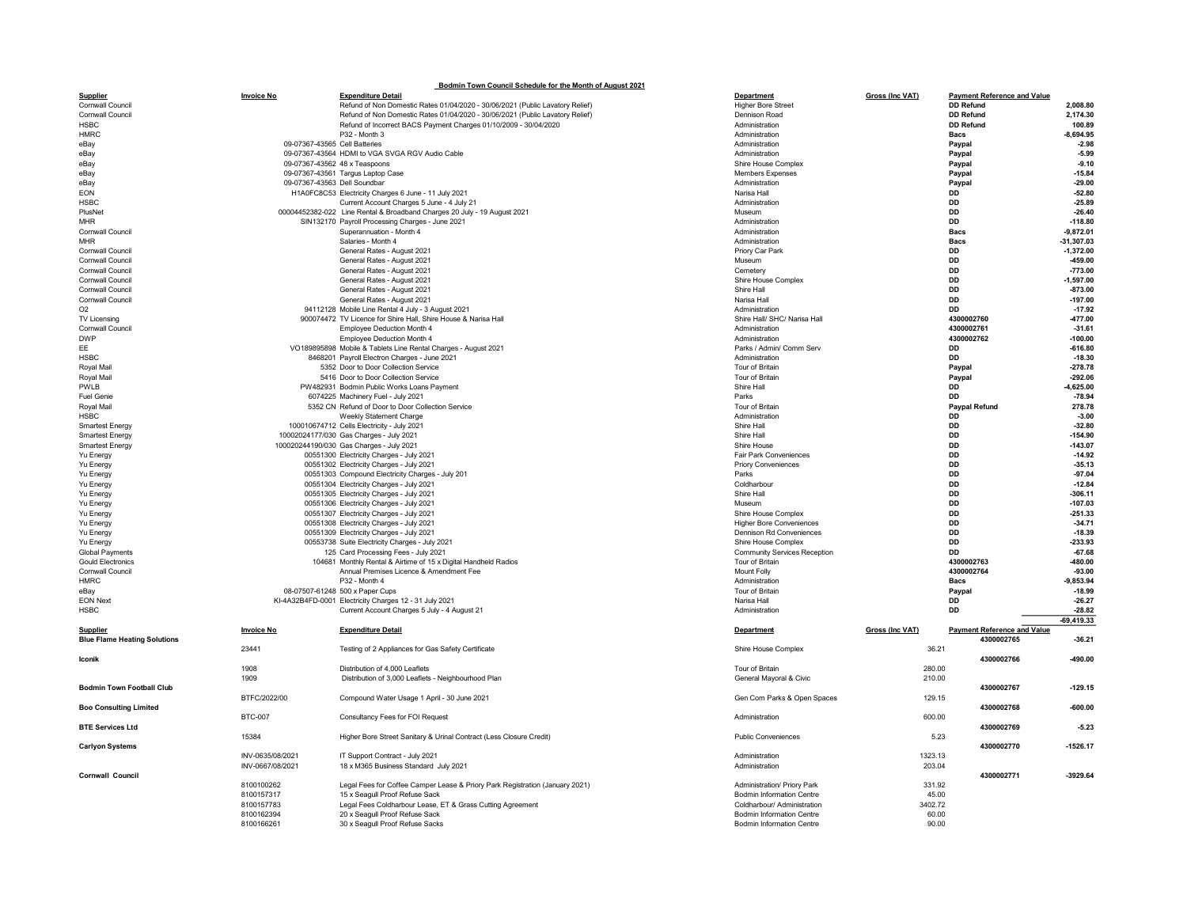|                                     |                   | Bodmin Town Council Schedule for the Month of August 2021                                                  |                                         |                                                            |                                                        |                             |
|-------------------------------------|-------------------|------------------------------------------------------------------------------------------------------------|-----------------------------------------|------------------------------------------------------------|--------------------------------------------------------|-----------------------------|
| Supplier<br>Cornwall Council        | <b>Invoice No</b> | <b>Expenditure Detail</b><br>Refund of Non Domestic Rates 01/04/2020 - 30/06/2021 (Public Lavatory Relief) | Department<br><b>Higher Bore Street</b> | Gross (Inc VAT)                                            | <b>Payment Reference and Value</b><br><b>DD Refund</b> | 2.008.80                    |
| Cornwall Council                    |                   | Refund of Non Domestic Rates 01/04/2020 - 30/06/2021 (Public Lavatory Relief)                              | Dennison Road                           |                                                            | <b>DD Refund</b>                                       | 2,174.30                    |
| HSBC                                |                   | Refund of Incorrect BACS Payment Charges 01/10/2009 - 30/04/2020                                           | Administration                          |                                                            | <b>DD Refund</b>                                       | 100.89                      |
| HMRC                                |                   | P32 - Month 3                                                                                              | Administration                          |                                                            | Bacs                                                   | $-8,694.95$                 |
| eBav                                |                   | 09-07367-43565 Cell Batteries                                                                              | Administration                          |                                                            | Paypal                                                 | $-2.98$                     |
| eBav                                |                   | 09-07367-43564 HDMI to VGA SVGA RGV Audio Cable                                                            | Administration                          |                                                            | Paypal                                                 | $-5.99$                     |
| eBav                                |                   | 09-07367-43562 48 x Teaspoons                                                                              |                                         | Shire House Complex                                        | Paypal                                                 | $-9.10$                     |
| eBay                                |                   | 09-07367-43561 Targus Laptop Case                                                                          |                                         | Members Expenses                                           | Paypal                                                 | $-15.84$                    |
| eBay                                |                   | 09-07367-43563 Dell Soundbar                                                                               | Administration                          |                                                            | Paypal                                                 | $-29.00$                    |
| EON                                 |                   | H1A0FC8C53 Electricity Charges 6 June - 11 July 2021                                                       | Narisa Hall                             |                                                            | DD                                                     | $-52.80$                    |
| HSBC                                |                   | Current Account Charges 5 June - 4 July 21                                                                 | Administration                          |                                                            | DD                                                     | $-25.89$                    |
| PlusNet                             |                   | 00004452382-022 Line Rental & Broadband Charges 20 July - 19 August 2021                                   | Museum                                  |                                                            | <b>DD</b>                                              | $-26.40$                    |
| MHR                                 |                   | SIN132170 Payroll Processing Charges - June 2021                                                           | Administration                          |                                                            | <b>DD</b>                                              | $-118.80$                   |
| Cornwall Council<br><b>MHR</b>      |                   | Superannuation - Month 4<br>Salaries - Month 4                                                             | Administration<br>Administration        |                                                            | <b>Bacs</b><br><b>Bacs</b>                             | $-9,872.01$<br>$-31,307.03$ |
| Cornwall Council                    |                   | General Rates - August 2021                                                                                | Priory Car Park                         |                                                            | <b>DD</b>                                              | $-1.372.00$                 |
| Cornwall Council                    |                   | General Rates - August 2021                                                                                | Museum                                  |                                                            | DD                                                     | -459.00                     |
| Cornwall Council                    |                   | General Rates - August 2021                                                                                | Cemetery                                |                                                            | DD                                                     | $-773.00$                   |
| Cornwall Council                    |                   | General Rates - August 2021                                                                                |                                         | Shire House Complex                                        | DD                                                     | $-1.597.00$                 |
| Cornwall Council                    |                   | General Rates - August 2021                                                                                | Shire Hall                              |                                                            | <b>DD</b>                                              | $-873.00$                   |
| Cornwall Council                    |                   | General Rates - August 2021                                                                                | Narisa Hall                             |                                                            | nn                                                     | $-197.00$                   |
| O <sub>2</sub>                      |                   | 94112128 Mobile Line Rental 4 July - 3 August 2021                                                         | Administration                          |                                                            | <b>DD</b>                                              | $-17.92$                    |
| TV Licensing                        |                   | 900074472 TV Licence for Shire Hall, Shire House & Narisa Hall                                             |                                         | Shire Hall/ SHC/ Narisa Hall                               | 4300002760                                             | -477.00                     |
| Cornwall Council                    |                   | Employee Deduction Month 4                                                                                 | Administration                          |                                                            | 4300002761                                             | $-31.61$                    |
| <b>DWP</b>                          |                   | Employee Deduction Month 4                                                                                 | Administration                          |                                                            | 4300002762                                             | $-100.00$                   |
| EE.                                 |                   | VO189895898 Mobile & Tablets Line Rental Charges - August 2021                                             |                                         | Parks / Admin/ Comm Serv                                   | <b>DD</b>                                              | $-616.80$                   |
| HSBC                                |                   | 8468201 Payroll Electron Charges - June 2021                                                               | Administration                          |                                                            | DD                                                     | $-18.30$                    |
| Royal Mail                          |                   | 5352 Door to Door Collection Service                                                                       | Tour of Britain                         |                                                            | Paypal                                                 | $-278.78$                   |
| Royal Mail                          |                   | 5416 Door to Door Collection Service                                                                       | Tour of Britain                         |                                                            | Paypal                                                 | $-292.06$                   |
| PWLB                                |                   | PW482931 Bodmin Public Works Loans Payment                                                                 | Shire Hall                              |                                                            | DD                                                     | $-4,625.00$                 |
| <b>Fuel Genie</b><br>Royal Mail     |                   | 6074225 Machinery Fuel - July 2021<br>5352 CN Refund of Door to Door Collection Service                    | Parks<br>Tour of Britain                |                                                            | <b>DD</b><br><b>Paypal Refund</b>                      | $-78.94$<br>278.78          |
| HSBC                                |                   | Weekly Statement Charge                                                                                    | Administration                          |                                                            | DD                                                     | $-3.00$                     |
| <b>Smartest Energy</b>              |                   | 100010674712 Cells Electricity - July 2021                                                                 | Shire Hall                              |                                                            | DD                                                     | $-32.80$                    |
| Smartest Energy                     |                   | 10002024177/030 Gas Charges - July 2021                                                                    | Shire Hall                              |                                                            | DD                                                     | $-154.90$                   |
| <b>Smartest Energy</b>              |                   | 100020244190/030 Gas Charges - July 2021                                                                   | Shire House                             |                                                            | <b>DD</b>                                              | $-143.07$                   |
| Yu Energy                           |                   | 00551300 Electricity Charges - July 2021                                                                   |                                         | Fair Park Conveniences                                     | <b>DD</b>                                              | $-14.92$                    |
| Yu Energy                           |                   | 00551302 Electricity Charges - July 2021                                                                   |                                         | <b>Priory Conveniences</b>                                 | <b>DD</b>                                              | $-35.13$                    |
| Yu Energy                           |                   | 00551303 Compound Electricity Charges - July 201                                                           | Parks                                   |                                                            | DD                                                     | $-97.04$                    |
| Yu Energy                           |                   | 00551304 Electricity Charges - July 2021                                                                   | Coldharbour                             |                                                            | DD                                                     | $-12.84$                    |
| Yu Energy                           |                   | 00551305 Electricity Charges - July 2021                                                                   | Shire Hall                              |                                                            | DD                                                     | $-306.11$                   |
| Yu Energy                           |                   | 00551306 Electricity Charges - July 2021                                                                   | Museum                                  |                                                            | DD                                                     | $-107.03$                   |
| Yu Energy                           |                   | 00551307 Electricity Charges - July 2021                                                                   |                                         | Shire House Complex                                        | DD                                                     | $-251.33$                   |
| Yu Energy                           |                   | 00551308 Electricity Charges - July 2021                                                                   |                                         | <b>Higher Bore Conveniences</b>                            | <b>DD</b>                                              | $-34.71$                    |
| Yu Energy                           |                   | 00551309 Electricity Charges - July 2021                                                                   |                                         | Dennison Rd Conveniences                                   | <b>DD</b>                                              | $-18.39$                    |
| Yu Energy<br><b>Global Payments</b> |                   | 00553738 Suite Electricity Charges - July 2021<br>125 Card Processing Fees - July 2021                     |                                         | Shire House Complex<br><b>Community Services Reception</b> | DD<br><b>DD</b>                                        | $-233.93$<br>$-67.68$       |
| <b>Gould Electronics</b>            |                   | 104681 Monthly Rental & Airtime of 15 x Digital Handheld Radios                                            | Tour of Britain                         |                                                            | 4300002763                                             | -480.00                     |
| Cornwall Council                    |                   | Annual Premises Licence & Amendment Fee                                                                    | Mount Folly                             |                                                            | 4300002764                                             | $-93.00$                    |
| <b>HMRC</b>                         |                   | P32 - Month 4                                                                                              | Administration                          |                                                            | <b>Bacs</b>                                            | -9,853.94                   |
| eBay                                |                   | 08-07507-61248 500 x Paper Cups                                                                            | Tour of Britain                         |                                                            | Paypal                                                 | $-18.99$                    |
| <b>EON Next</b>                     |                   | KI-4A32B4FD-0001 Electricity Charges 12 - 31 July 2021                                                     | Narisa Hall                             |                                                            | <b>DD</b>                                              | $-26.27$                    |
| <b>HSBC</b>                         |                   | Current Account Charges 5 July - 4 August 21                                                               | Administration                          |                                                            | <b>DD</b>                                              | $-28.82$                    |
|                                     |                   |                                                                                                            |                                         |                                                            |                                                        | $-69,419.33$                |
| <b>Supplier</b>                     | <b>Invoice No</b> | <b>Expenditure Detail</b>                                                                                  | Department                              | Gross (Inc VAT)                                            | <b>Payment Reference and Value</b>                     |                             |
| <b>Blue Flame Heating Solutions</b> |                   |                                                                                                            |                                         |                                                            | 4300002765                                             | $-36.21$                    |
|                                     | 23441             | Testing of 2 Appliances for Gas Safety Certificate                                                         |                                         | Shire House Complex                                        | 36.21                                                  |                             |
| Iconik                              |                   |                                                                                                            |                                         |                                                            | 4300002766                                             | -490.00                     |
|                                     | 1908              | Distribution of 4,000 Leaflets                                                                             | Tour of Britain                         |                                                            | 280.00                                                 |                             |
|                                     | 1909              | Distribution of 3,000 Leaflets - Neighbourhood Plan                                                        |                                         | General Mayoral & Civic                                    | 210.00                                                 |                             |
| <b>Bodmin Town Football Club</b>    | BTFC/2022/00      | Compound Water Usage 1 April - 30 June 2021                                                                |                                         | Gen Com Parks & Open Spaces                                | 4300002767                                             | $-129.15$                   |
| <b>Boo Consulting Limited</b>       |                   |                                                                                                            |                                         |                                                            | 129.15<br>4300002768                                   | $-600.00$                   |
|                                     | <b>BTC-007</b>    | Consultancy Fees for FOI Request                                                                           | Administration                          |                                                            | 600.00                                                 |                             |
| <b>BTE Services Ltd</b>             |                   |                                                                                                            |                                         |                                                            | 4300002769                                             | $-5.23$                     |
|                                     | 15384             | Higher Bore Street Sanitary & Urinal Contract (Less Closure Credit)                                        |                                         | <b>Public Conveniences</b>                                 | 5.23                                                   |                             |
| <b>Carlyon Systems</b>              |                   |                                                                                                            |                                         |                                                            | 4300002770                                             | $-1526.17$                  |
|                                     | INV-0635/08/2021  | IT Support Contract - July 2021                                                                            | Administration                          |                                                            | 1323.13                                                |                             |
|                                     | INV-0667/08/2021  | 18 x M365 Business Standard July 2021                                                                      | Administration                          |                                                            | 203.04                                                 |                             |
| Cornwall Council                    |                   |                                                                                                            |                                         |                                                            | 4300002771                                             | -3929.64                    |
|                                     | 8100100262        | Legal Fees for Coffee Camper Lease & Priory Park Registration (January 2021)                               |                                         | Administration/ Priory Park                                | 331.92                                                 |                             |
|                                     | 8100157317        | 15 x Seagull Proof Refuse Sack                                                                             |                                         | <b>Bodmin Information Centre</b>                           | 45.00                                                  |                             |
|                                     | 8100157783        | Legal Fees Coldharbour Lease, ET & Grass Cutting Agreement                                                 |                                         | Coldharbour/ Administration                                | 3402.72                                                |                             |
|                                     | 8100162394        | 20 x Seagull Proof Refuse Sack                                                                             |                                         | <b>Bodmin Information Centre</b>                           | 60.00                                                  |                             |
|                                     | 8100166261        | 30 x Seagull Proof Refuse Sacks                                                                            |                                         | <b>Bodmin Information Centre</b>                           | 90.00                                                  |                             |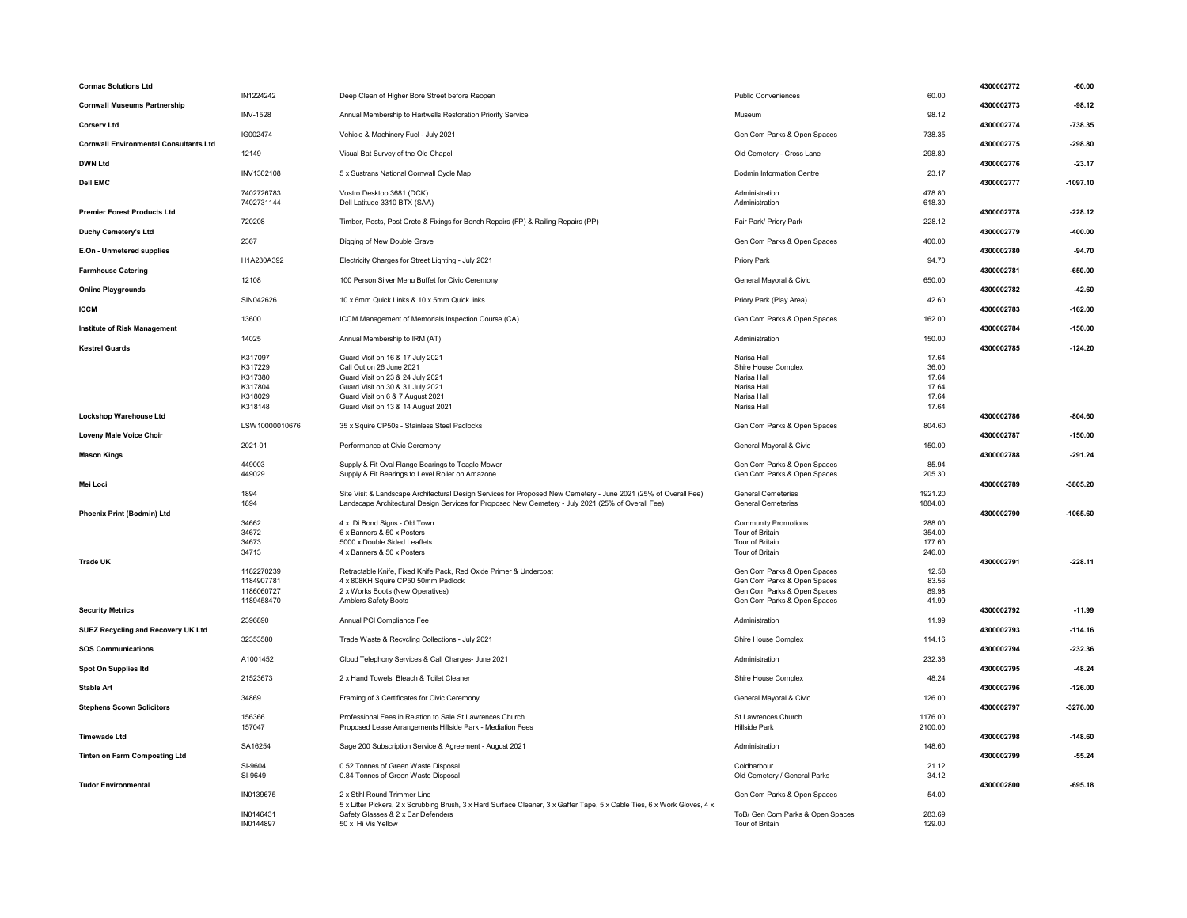| <b>Cormac Solutions Ltd</b>                   |                          |                                                                                                                          |                                                            |                  | 4300002772<br>$-60.00$   |
|-----------------------------------------------|--------------------------|--------------------------------------------------------------------------------------------------------------------------|------------------------------------------------------------|------------------|--------------------------|
| <b>Cornwall Museums Partnership</b>           | IN1224242                | Deep Clean of Higher Bore Street before Reopen                                                                           | <b>Public Conveniences</b>                                 | 60.00            | 4300002773<br>$-98.12$   |
|                                               | <b>INV-1528</b>          | Annual Membership to Hartwells Restoration Priority Service                                                              | Museum                                                     | 98.12            |                          |
| <b>Corserv Ltd</b>                            |                          |                                                                                                                          |                                                            |                  | 4300002774<br>$-738.35$  |
|                                               | IG002474                 | Vehicle & Machinery Fuel - July 2021                                                                                     | Gen Com Parks & Open Spaces                                | 738.35           |                          |
| <b>Cornwall Environmental Consultants Ltd</b> | 12149                    |                                                                                                                          |                                                            |                  | 4300002775<br>$-298.80$  |
| <b>DWN Ltd</b>                                |                          | Visual Bat Survey of the Old Chapel                                                                                      | Old Cemetery - Cross Lane                                  | 298.80           | 4300002776<br>$-23.17$   |
|                                               | INV1302108               | 5 x Sustrans National Cornwall Cycle Map                                                                                 | <b>Bodmin Information Centre</b>                           | 23.17            |                          |
| <b>Dell EMC</b>                               |                          |                                                                                                                          |                                                            |                  | 4300002777<br>$-1097.10$ |
|                                               | 7402726783               | Vostro Desktop 3681 (DCK)                                                                                                | Administration                                             | 478.80           |                          |
| <b>Premier Forest Products Ltd</b>            | 7402731144               | Dell Latitude 3310 BTX (SAA)                                                                                             | Administration                                             | 618.30           | 4300002778<br>$-228.12$  |
|                                               | 720208                   | Timber, Posts, Post Crete & Fixings for Bench Repairs (FP) & Railing Repairs (PP)                                        | Fair Park/ Priory Park                                     | 228.12           |                          |
| Duchy Cemetery's Ltd                          |                          |                                                                                                                          |                                                            |                  | 4300002779<br>-400.00    |
|                                               | 2367                     | Digging of New Double Grave                                                                                              | Gen Com Parks & Open Spaces                                | 400.00           |                          |
| E.On - Unmetered supplies                     |                          |                                                                                                                          |                                                            |                  | 4300002780<br>$-94.70$   |
|                                               | H1A230A392               | Electricity Charges for Street Lighting - July 2021                                                                      | <b>Priory Park</b>                                         | 94.70            | 4300002781<br>$-650.00$  |
| <b>Farmhouse Catering</b>                     | 12108                    | 100 Person Silver Menu Buffet for Civic Ceremony                                                                         | General Mayoral & Civic                                    | 650.00           |                          |
| <b>Online Playgrounds</b>                     |                          |                                                                                                                          |                                                            |                  | 4300002782<br>$-42.60$   |
|                                               | SIN042626                | 10 x 6mm Quick Links & 10 x 5mm Quick links                                                                              | Priory Park (Play Area)                                    | 42.60            |                          |
| <b>ICCM</b>                                   |                          |                                                                                                                          |                                                            |                  | 4300002783<br>$-162.00$  |
|                                               | 13600                    | ICCM Management of Memorials Inspection Course (CA)                                                                      | Gen Com Parks & Open Spaces                                | 162.00           |                          |
| <b>Institute of Risk Management</b>           | 14025                    | Annual Membership to IRM (AT)                                                                                            | Administration                                             | 150.00           | 4300002784<br>$-150.00$  |
| <b>Kestrel Guards</b>                         |                          |                                                                                                                          |                                                            |                  | 4300002785<br>$-124.20$  |
|                                               | K317097                  | Guard Visit on 16 & 17 July 2021                                                                                         | Narisa Hall                                                | 17.64            |                          |
|                                               | K317229                  | Call Out on 26 June 2021                                                                                                 | Shire House Complex                                        | 36.00            |                          |
|                                               | K317380                  | Guard Visit on 23 & 24 July 2021                                                                                         | Narisa Hall                                                | 17.64            |                          |
|                                               | K317804                  | Guard Visit on 30 & 31 July 2021                                                                                         | Narisa Hall                                                | 17.64            |                          |
|                                               | K318029<br>K318148       | Guard Visit on 6 & 7 August 2021<br>Guard Visit on 13 & 14 August 2021                                                   | Narisa Hall<br>Narisa Hall                                 | 17.64<br>17.64   |                          |
| <b>Lockshop Warehouse Ltd</b>                 |                          |                                                                                                                          |                                                            |                  | 4300002786<br>$-804.60$  |
|                                               | LSW10000010676           | 35 x Squire CP50s - Stainless Steel Padlocks                                                                             | Gen Com Parks & Open Spaces                                | 804.60           |                          |
| <b>Loveny Male Voice Choir</b>                |                          |                                                                                                                          |                                                            |                  | 4300002787<br>$-150.00$  |
|                                               | 2021-01                  | Performance at Civic Ceremony                                                                                            | General Mayoral & Civic                                    | 150.00           |                          |
| <b>Mason Kings</b>                            | 449003                   | Supply & Fit Oval Flange Bearings to Teagle Mower                                                                        | Gen Com Parks & Open Spaces                                | 85.94            | 4300002788<br>$-291.24$  |
|                                               |                          |                                                                                                                          |                                                            |                  |                          |
|                                               |                          |                                                                                                                          |                                                            |                  |                          |
| Mei Loci                                      | 449029                   | Supply & Fit Bearings to Level Roller on Amazone                                                                         | Gen Com Parks & Open Spaces                                | 205.30           | 4300002789<br>$-3805.20$ |
|                                               | 1894                     | Site Visit & Landscape Architectural Design Services for Proposed New Cemetery - June 2021 (25% of Overall Fee)          | <b>General Cemeteries</b>                                  | 1921.20          |                          |
|                                               | 1894                     | Landscape Architectural Design Services for Proposed New Cemetery - July 2021 (25% of Overall Fee)                       | <b>General Cemeteries</b>                                  | 1884.00          |                          |
| Phoenix Print (Bodmin) Ltd                    |                          |                                                                                                                          |                                                            |                  | 4300002790<br>$-1065.60$ |
|                                               | 34662                    | 4 x Di Bond Signs - Old Town                                                                                             | <b>Community Promotions</b>                                | 288.00           |                          |
|                                               | 34672<br>34673           | 6 x Banners & 50 x Posters<br>5000 x Double Sided Leaflets                                                               | Tour of Britain<br>Tour of Britain                         | 354.00<br>177.60 |                          |
|                                               | 34713                    | 4 x Banners & 50 x Posters                                                                                               | Tour of Britain                                            | 246.00           |                          |
| <b>Trade UK</b>                               |                          |                                                                                                                          |                                                            |                  | 4300002791<br>$-228.11$  |
|                                               | 1182270239               | Retractable Knife, Fixed Knife Pack, Red Oxide Primer & Undercoat                                                        | Gen Com Parks & Open Spaces                                | 12.58            |                          |
|                                               | 1184907781               | 4 x 808KH Squire CP50 50mm Padlock                                                                                       | Gen Com Parks & Open Spaces                                | 83.56            |                          |
|                                               | 1186060727<br>1189458470 | 2 x Works Boots (New Operatives)<br>Amblers Safety Boots                                                                 | Gen Com Parks & Open Spaces<br>Gen Com Parks & Open Spaces | 89.98<br>41.99   |                          |
| <b>Security Metrics</b>                       |                          |                                                                                                                          |                                                            |                  | 4300002792<br>$-11.99$   |
|                                               | 2396890                  | Annual PCI Compliance Fee                                                                                                | Administration                                             | 11.99            |                          |
| SUEZ Recycling and Recovery UK Ltd            |                          |                                                                                                                          |                                                            |                  | 4300002793<br>$-114.16$  |
|                                               | 32353580                 | Trade Waste & Recycling Collections - July 2021                                                                          | Shire House Complex                                        | 114.16           |                          |
| <b>SOS Communications</b>                     | A1001452                 | Cloud Telephony Services & Call Charges- June 2021                                                                       | Administration                                             | 232.36           | 4300002794<br>$-232.36$  |
| Spot On Supplies Itd                          |                          |                                                                                                                          |                                                            |                  | 4300002795<br>-48.24     |
|                                               | 21523673                 | 2 x Hand Towels, Bleach & Toilet Cleaner                                                                                 | Shire House Complex                                        | 48.24            |                          |
| <b>Stable Art</b>                             |                          |                                                                                                                          |                                                            |                  | 4300002796<br>$-126.00$  |
|                                               | 34869                    | Framing of 3 Certificates for Civic Ceremony                                                                             | General Mayoral & Civic                                    | 126.00           |                          |
| <b>Stephens Scown Solicitors</b>              | 156366                   | Professional Fees in Relation to Sale St Lawrences Church                                                                | St Lawrences Church                                        | 1176.00          | 4300002797<br>$-3276.00$ |
|                                               | 157047                   | Proposed Lease Arrangements Hillside Park - Mediation Fees                                                               | Hillside Park                                              | 2100.00          |                          |
| <b>Timewade Ltd</b>                           |                          |                                                                                                                          |                                                            |                  | 4300002798<br>$-148.60$  |
|                                               | SA16254                  | Sage 200 Subscription Service & Agreement - August 2021                                                                  | Administration                                             | 148.60           |                          |
| <b>Tinten on Farm Composting Ltd</b>          | SI-9604                  | 0.52 Tonnes of Green Waste Disposal                                                                                      | Coldharbour                                                | 21.12            | 4300002799<br>$-55.24$   |
|                                               | SI-9649                  | 0.84 Tonnes of Green Waste Disposal                                                                                      | Old Cemetery / General Parks                               | 34.12            |                          |
| <b>Tudor Environmental</b>                    |                          |                                                                                                                          |                                                            |                  | 4300002800<br>$-695.18$  |
|                                               | IN0139675                | 2 x Stihl Round Trimmer Line                                                                                             | Gen Com Parks & Open Spaces                                | 54.00            |                          |
|                                               |                          | 5 x Litter Pickers, 2 x Scrubbing Brush, 3 x Hard Surface Cleaner, 3 x Gaffer Tape, 5 x Cable Ties, 6 x Work Gloves, 4 x |                                                            |                  |                          |
|                                               | IN0146431<br>IN0144897   | Safety Glasses & 2 x Ear Defenders<br>50 x Hi Vis Yellow                                                                 | ToB/ Gen Com Parks & Open Spaces<br>Tour of Britain        | 283.69<br>129.00 |                          |